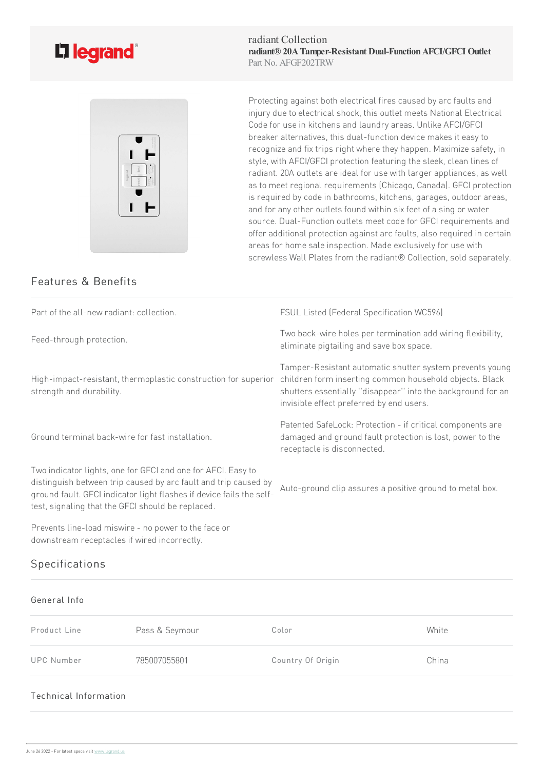

radiant Collection **radiant® 20ATamper-Resistant Dual-FunctionAFCI/GFCI Outlet** Part No. AFGF202TRW



Protecting against both electrical fires caused by arc faults and injury due to electrical shock, this outlet meets National Electrical Code for use in kitchens and laundry areas. Unlike AFCI/GFCI breaker alternatives, this dual-function device makes it easy to recognize and fix trips right where they happen. Maximize safety, in style, with AFCI/GFCI protection featuring the sleek, clean lines of radiant. 20A outlets are ideal for use with larger appliances, as well as to meet regional requirements (Chicago, Canada). GFCI protection is required by code in bathrooms, kitchens, garages, outdoor areas, and for any other outlets found within six feet of a sing or water source. Dual-Function outlets meet code for GFCI requirements and offer additional protection against arc faults, also required in certain areas for home sale inspection. Made exclusively for use with screwless Wall Plates from the radiant® Collection, sold separately.

## Features & Benefits

Part of the all-new radiant: collection. The Superson of Superson FSUL Listed (Federal Specification WC596) Feed-through protection. Two back-wire holes per termination add wiring flexibility, eliminate pigtailing and save box space. High-impact-resistant, thermoplastic construction for superior strength and durability. Tamper-Resistant automatic shutter system prevents young children form inserting common household objects. Black shutters essentially "disappear" into the background for an invisible effect preferred by end users. Ground terminal back-wirefor fast installation. Patented SafeLock: Protection - if critical components are damaged and ground fault protection is lost, power to the receptacle is disconnected. Two indicator lights, one for GFCI and one for AFCI. Easy to distinguish between trip caused by arc fault and trip caused by ground fault. GFCI indicator light flashes if device fails the self-Auto-ground clip assures a positive ground to metal box.

Prevents line-load miswire - no power to the face or downstream receptacles if wired incorrectly.

test, signaling that the GFCI should be replaced.

## Specifications

## General Info Product Line **Pass & Seymour** Color Color Color UPC Number 785007055801 Country Of Origin China

## Technical Information